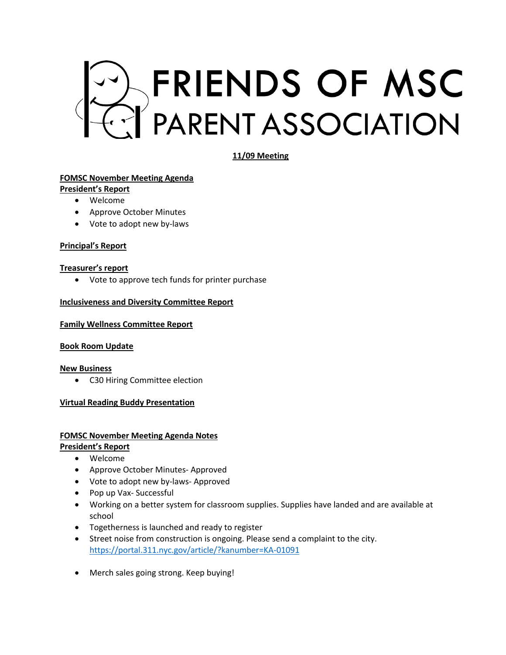

**11/09 Meeting** 

# **FOMSC November Meeting Agenda**

- **President's Report**
	- Welcome
	- Approve October Minutes
	- Vote to adopt new by-laws

### **Principal's Report**

# **Treasurer's report**

• Vote to approve tech funds for printer purchase

# **Inclusiveness and Diversity Committee Report**

#### **Family Wellness Committee Report**

### **Book Room Update**

### **New Business**

• C30 Hiring Committee election

# **Virtual Reading Buddy Presentation**

# **FOMSC November Meeting Agenda Notes**

**President's Report**

- Welcome
- Approve October Minutes- Approved
- Vote to adopt new by-laws- Approved
- Pop up Vax- Successful
- Working on a better system for classroom supplies. Supplies have landed and are available at school
- Togetherness is launched and ready to register
- Street noise from construction is ongoing. Please send a complaint to the city. https://portal.311.nyc.gov/article/?kanumber=KA-01091
- Merch sales going strong. Keep buying!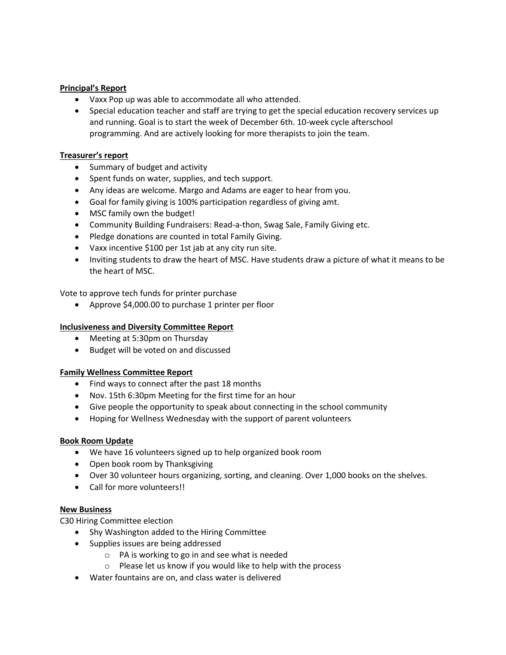## **Principal's Report**

- Vaxx Pop up was able to accommodate all who attended.
- Special education teacher and staff are trying to get the special education recovery services up and running. Goal is to start the week of December 6th. 10-week cycle afterschool programming. And are actively looking for more therapists to join the team.

# **Treasurer's report**

- Summary of budget and activity
- Spent funds on water, supplies, and tech support.
- Any ideas are welcome. Margo and Adams are eager to hear from you.
- Goal for family giving is 100% participation regardless of giving amt.
- MSC family own the budget!
- Community Building Fundraisers: Read-a-thon, Swag Sale, Family Giving etc.
- Pledge donations are counted in total Family Giving.
- Vaxx incentive \$100 per 1st jab at any city run site.
- Inviting students to draw the heart of MSC. Have students draw a picture of what it means to be the heart of MSC.

Vote to approve tech funds for printer purchase

• Approve \$4,000.00 to purchase 1 printer per floor

## **Inclusiveness and Diversity Committee Report**

- Meeting at 5:30pm on Thursday
- Budget will be voted on and discussed

### **Family Wellness Committee Report**

- Find ways to connect after the past 18 months
- Nov. 15th 6:30pm Meeting for the first time for an hour
- Give people the opportunity to speak about connecting in the school community
- Hoping for Wellness Wednesday with the support of parent volunteers

### **Book Room Update**

- We have 16 volunteers signed up to help organized book room
- Open book room by Thanksgiving
- Over 30 volunteer hours organizing, sorting, and cleaning. Over 1,000 books on the shelves.
- Call for more volunteers!!

### **New Business**

C30 Hiring Committee election

- Shy Washington added to the Hiring Committee
- Supplies issues are being addressed
	- o PA is working to go in and see what is needed
	- o Please let us know if you would like to help with the process
- Water fountains are on, and class water is delivered